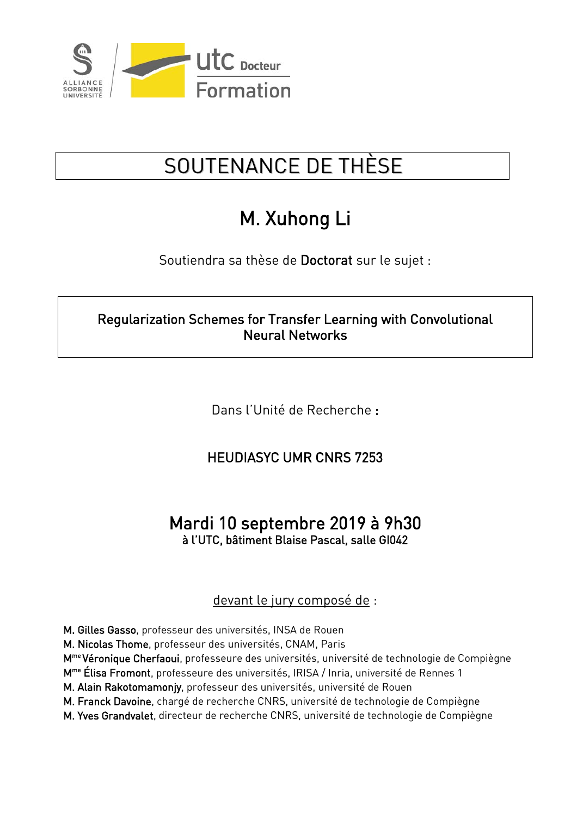

## SOUTENANCE DE THÈSE

## M. Xuhong Li

Soutiendra sa thèse de Doctorat sur le sujet :

Regularization Schemes for Transfer Learning with Convolutional Neural Networks

Dans l'Unité de Recherche :

HEUDIASYC UMR CNRS 7253

## Mardi 10 septembre 2019 à 9h30 à l'UTC, bâtiment Blaise Pascal, salle GI042

## devant le jury composé de :

M. Gilles Gasso, professeur des universités, INSA de Rouen

M. Nicolas Thome, professeur des universités, CNAM, Paris

M<sup>me</sup> Véronique Cherfaoui, professeure des universités, université de technologie de Compiègne

M<sup>me</sup> Élisa Fromont, professeure des universités, IRISA / Inria, université de Rennes 1

M. Alain Rakotomamonjy, professeur des universités, université de Rouen

M. Franck Davoine, chargé de recherche CNRS, université de technologie de Compiègne

M. Yves Grandvalet, directeur de recherche CNRS, université de technologie de Compiègne